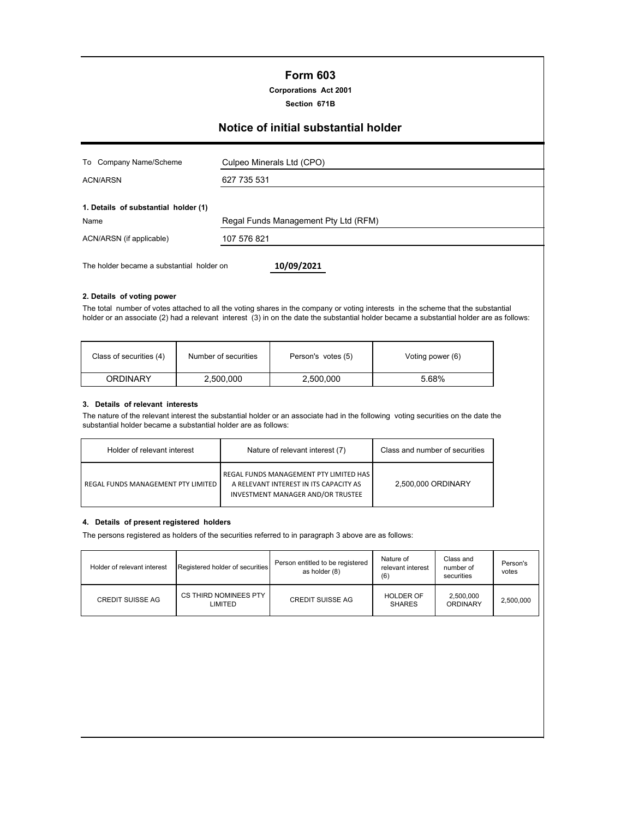## **Form 603**

**Corporations Act 2001**

**Section 671B**

# **Notice of initial substantial holder**

| To Company Name/Scheme                    | Culpeo Minerals Ltd (CPO)            |
|-------------------------------------------|--------------------------------------|
| <b>ACN/ARSN</b>                           | 627 735 531                          |
| 1. Details of substantial holder (1)      |                                      |
| Name                                      | Regal Funds Management Pty Ltd (RFM) |
| ACN/ARSN (if applicable)                  | 107 576 821                          |
| The holder became a substantial holder on | 10/09/2021                           |

#### **2. Details of voting power**

The total number of votes attached to all the voting shares in the company or voting interests in the scheme that the substantial holder or an associate (2) had a relevant interest (3) in on the date the substantial holder became a substantial holder are as follows:

| Class of securities (4)<br>Number of securities |           | Person's votes (5) | Voting power (6) |  |
|-------------------------------------------------|-----------|--------------------|------------------|--|
| ORDINARY                                        | 2,500,000 | 2,500,000          | 5.68%            |  |

#### **3. Details of relevant interests**

The nature of the relevant interest the substantial holder or an associate had in the following voting securities on the date the substantial holder became a substantial holder are as follows:

| Holder of relevant interest               | Nature of relevant interest (7)                                                                                              | Class and number of securities |
|-------------------------------------------|------------------------------------------------------------------------------------------------------------------------------|--------------------------------|
| <b>REGAL FUNDS MANAGEMENT PTY LIMITED</b> | REGAL FUNDS MANAGEMENT PTY LIMITED HAS<br>A RELEVANT INTEREST IN ITS CAPACITY AS<br><b>INVESTMENT MANAGER AND/OR TRUSTEE</b> | 2,500,000 ORDINARY             |

#### **4. Details of present registered holders**

The persons registered as holders of the securities referred to in paragraph 3 above are as follows:

| Holder of relevant interest | Registered holder of securities  | Person entitled to be registered<br>as holder (8) | Nature of<br>relevant interest<br>(6) | Class and<br>number of<br>securities | Person's<br>votes |
|-----------------------------|----------------------------------|---------------------------------------------------|---------------------------------------|--------------------------------------|-------------------|
| <b>CREDIT SUISSE AG</b>     | CS THIRD NOMINEES PTY<br>LIMITED | <b>CREDIT SUISSE AG</b>                           | <b>HOLDER OF</b><br><b>SHARES</b>     | 2,500,000<br>ORDINARY                | 2.500.000         |